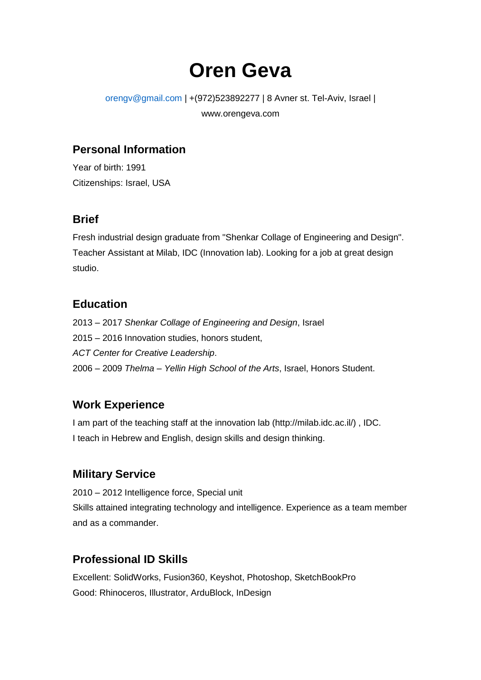# **Oren Geva**

#### orengv@gmail.com | +(972)523892277 | 8 Avner st. Tel-Aviv, Israel | www.orengeva.com

#### **Personal Information**

Year of birth: 1991 Citizenships: Israel, USA

#### **Brief**

Fresh industrial design graduate from "Shenkar Collage of Engineering and Design". Teacher Assistant at Milab, IDC (Innovation lab). Looking for a job at great design studio.

#### **Education**

2013 – 2017 *Shenkar Collage of Engineering and Design*, Israel 2015 – 2016 Innovation studies, honors student, *ACT Center for Creative Leadership*. 2006 – 2009 *Thelma – Yellin High School of the Arts*, Israel, Honors Student.

## **Work Experience**

I am part of the teaching staff at the innovation lab (http://milab.idc.ac.il/) , IDC. I teach in Hebrew and English, design skills and design thinking.

## **Military Service**

2010 – 2012 Intelligence force, Special unit Skills attained integrating technology and intelligence. Experience as a team member and as a commander.

## **Professional ID Skills**

Excellent: SolidWorks, Fusion360, Keyshot, Photoshop, SketchBookPro Good: Rhinoceros, Illustrator, ArduBlock, InDesign